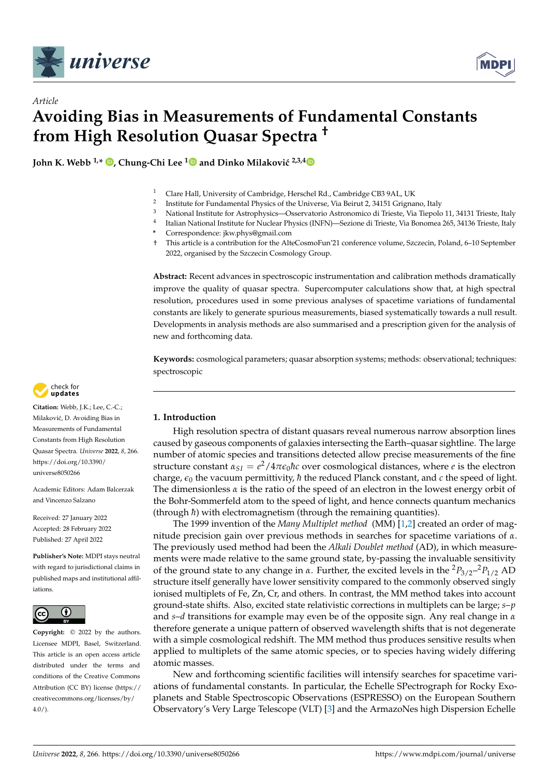

*Article*



# **Avoiding Bias in Measurements of Fundamental Constants from High Resolution Quasar Spectra †**

**John K. Webb**  $1, *$  $1, *$  $1, *$   $\bullet$ , Chung-Chi Lee  $1\bullet$  $1\bullet$  and Dinko Milaković  $2,3,4$  $2,3,4$   $\bullet$ 

- <sup>1</sup> Clare Hall, University of Cambridge, Herschel Rd., Cambridge CB3 9AL, UK
- 2 Institute for Fundamental Physics of the Universe, Via Beirut 2, 34151 Grignano, Italy
- <sup>3</sup> National Institute for Astrophysics—Osservatorio Astronomico di Trieste, Via Tiepolo 11, 34131 Trieste, Italy

4 Italian National Institute for Nuclear Physics (INFN)—Sezione di Trieste, Via Bonomea 265, 34136 Trieste, Italy

- **\*** Correspondence: jkw.phys@gmail.com
- † This article is a contribution for the AlteCosmoFun'21 conference volume, Szczecin, Poland, 6–10 September 2022, organised by the Szczecin Cosmology Group.

**Abstract:** Recent advances in spectroscopic instrumentation and calibration methods dramatically improve the quality of quasar spectra. Supercomputer calculations show that, at high spectral resolution, procedures used in some previous analyses of spacetime variations of fundamental constants are likely to generate spurious measurements, biased systematically towards a null result. Developments in analysis methods are also summarised and a prescription given for the analysis of new and forthcoming data.

**Keywords:** cosmological parameters; quasar absorption systems; methods: observational; techniques: spectroscopic



**Citation:** Webb, J.K.; Lee, C.-C.; Milaković, D. Avoiding Bias in Measurements of Fundamental Constants from High Resolution Quasar Spectra. *Universe* **2022**, *8*, 266. [https://doi.org/10.3390/](https://doi.org/10.3390/universe8050266) [universe8050266](https://doi.org/10.3390/universe8050266)

Academic Editors: Adam Balcerzak and Vincenzo Salzano

Received: 27 January 2022 Accepted: 28 February 2022 Published: 27 April 2022

**Publisher's Note:** MDPI stays neutral with regard to jurisdictional claims in published maps and institutional affiliations.



**Copyright:** © 2022 by the authors. Licensee MDPI, Basel, Switzerland. This article is an open access article distributed under the terms and conditions of the Creative Commons Attribution (CC BY) license [\(https://](https://creativecommons.org/licenses/by/4.0/) [creativecommons.org/licenses/by/](https://creativecommons.org/licenses/by/4.0/)  $4.0/$ ).

# **1. Introduction**

High resolution spectra of distant quasars reveal numerous narrow absorption lines caused by gaseous components of galaxies intersecting the Earth–quasar sightline. The large number of atomic species and transitions detected allow precise measurements of the fine structure constant  $\alpha_{SI} = e^2/4\pi\epsilon_0\hbar c$  over cosmological distances, where *e* is the electron charge,  $\epsilon_0$  the vacuum permittivity,  $\hbar$  the reduced Planck constant, and  $c$  the speed of light. The dimensionless *α* is the ratio of the speed of an electron in the lowest energy orbit of the Bohr-Sommerfeld atom to the speed of light, and hence connects quantum mechanics (through  $\hbar$ ) with electromagnetism (through the remaining quantities).

The 1999 invention of the *Many Multiplet method* (MM) [\[1,](#page-13-0)[2\]](#page-13-1) created an order of magnitude precision gain over previous methods in searches for spacetime variations of *α*. The previously used method had been the *Alkali Doublet method* (AD), in which measurements were made relative to the same ground state, by-passing the invaluable sensitivity of the ground state to any change in *α*. Further, the excited levels in the <sup>2</sup>*P*3/2– <sup>2</sup>*P*1/2 AD structure itself generally have lower sensitivity compared to the commonly observed singly ionised multiplets of Fe, Zn, Cr, and others. In contrast, the MM method takes into account ground-state shifts. Also, excited state relativistic corrections in multiplets can be large; *s*–*p* and *s*–*d* transitions for example may even be of the opposite sign. Any real change in *α* therefore generate a unique pattern of observed wavelength shifts that is not degenerate with a simple cosmological redshift. The MM method thus produces sensitive results when applied to multiplets of the same atomic species, or to species having widely differing atomic masses.

New and forthcoming scientific facilities will intensify searches for spacetime variations of fundamental constants. In particular, the Echelle SPectrograph for Rocky Exoplanets and Stable Spectroscopic Observations (ESPRESSO) on the European Southern Observatory's Very Large Telescope (VLT) [\[3\]](#page-13-2) and the ArmazoNes high Dispersion Echelle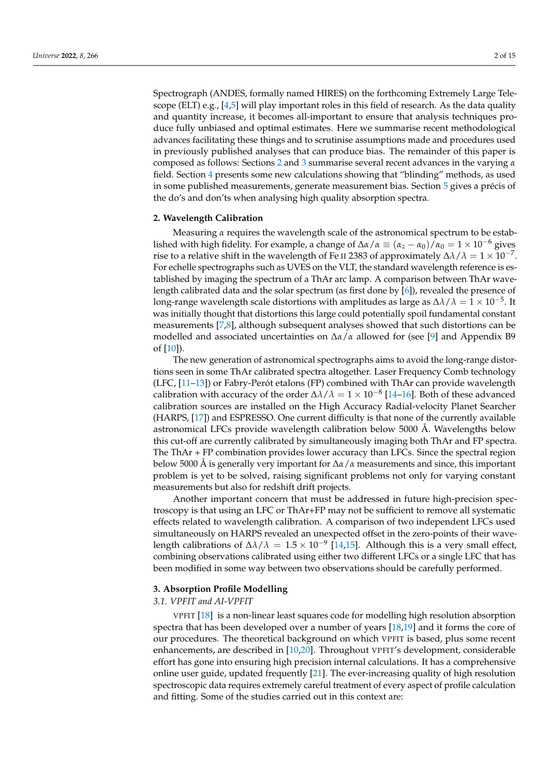Spectrograph (ANDES, formally named HIRES) on the forthcoming Extremely Large Tele-scope (ELT) e.g., [\[4,](#page-13-3)[5\]](#page-13-4) will play important roles in this field of research. As the data quality and quantity increase, it becomes all-important to ensure that analysis techniques produce fully unbiased and optimal estimates. Here we summarise recent methodological advances facilitating these things and to scrutinise assumptions made and procedures used in previously published analyses that can produce bias. The remainder of this paper is composed as follows: Sections [2](#page-1-0) and [3](#page-1-1) summarise several recent advances in the varying *α* field. Section [4](#page-4-0) presents some new calculations showing that "blinding" methods, as used in some published measurements, generate measurement bias. Section [5](#page-12-0) gives a précis of the do's and don'ts when analysing high quality absorption spectra.

### <span id="page-1-0"></span>**2. Wavelength Calibration**

Measuring *α* requires the wavelength scale of the astronomical spectrum to be established with high fidelity. For example, a change of  $\Delta \alpha / \alpha \equiv (\alpha_z - \alpha_0) / \alpha_0 = 1 \times 10^{-6}$  gives rise to a relative shift in the wavelength of Fe II 2383 of approximately  $\Delta\lambda/\lambda=1\times10^{-7}$ . For echelle spectrographs such as UVES on the VLT, the standard wavelength reference is established by imaging the spectrum of a ThAr arc lamp. A comparison between ThAr wavelength calibrated data and the solar spectrum (as first done by [\[6\]](#page-13-5)), revealed the presence of long-range wavelength scale distortions with amplitudes as large as  $\Delta\lambda/\lambda=1\times10^{-5}.$  It was initially thought that distortions this large could potentially spoil fundamental constant measurements [\[7](#page-13-6)[,8\]](#page-13-7), although subsequent analyses showed that such distortions can be modelled and associated uncertainties on ∆*α*/*α* allowed for (see [\[9\]](#page-13-8) and Appendix B9 of [\[10\]](#page-13-9)).

The new generation of astronomical spectrographs aims to avoid the long-range distortions seen in some ThAr calibrated spectra altogether. Laser Frequency Comb technology (LFC, [\[11–](#page-13-10)[13\]](#page-13-11)) or Fabry-Perót etalons (FP) combined with ThAr can provide wavelength calibration with accuracy of the order  $\Delta\lambda/\lambda = 1 \times 10^{-8}$  [\[14–](#page-13-12)[16\]](#page-13-13). Both of these advanced calibration sources are installed on the High Accuracy Radial-velocity Planet Searcher (HARPS, [\[17\]](#page-13-14)) and ESPRESSO. One current difficulty is that none of the currently available astronomical LFCs provide wavelength calibration below 5000 Å. Wavelengths below this cut-off are currently calibrated by simultaneously imaging both ThAr and FP spectra. The ThAr + FP combination provides lower accuracy than LFCs. Since the spectral region below 5000 Å is generally very important for ∆*α*/*α* measurements and since, this important problem is yet to be solved, raising significant problems not only for varying constant measurements but also for redshift drift projects.

Another important concern that must be addressed in future high-precision spectroscopy is that using an LFC or ThAr+FP may not be sufficient to remove all systematic effects related to wavelength calibration. A comparison of two independent LFCs used simultaneously on HARPS revealed an unexpected offset in the zero-points of their wavelength calibrations of  $\Delta\lambda/\lambda = 1.5 \times 10^{-9}$  [\[14,](#page-13-12)[15\]](#page-13-15). Although this is a very small effect, combining observations calibrated using either two different LFCs or a single LFC that has been modified in some way between two observations should be carefully performed.

# <span id="page-1-1"></span>**3. Absorption Profile Modelling**

#### *3.1. VPFIT and AI-VPFIT*

VPFIT [\[18\]](#page-13-16) is a non-linear least squares code for modelling high resolution absorption spectra that has been developed over a number of years [\[18,](#page-13-16)[19\]](#page-13-17) and it forms the core of our procedures. The theoretical background on which VPFIT is based, plus some recent enhancements, are described in [\[10](#page-13-9)[,20\]](#page-13-18). Throughout VPFIT's development, considerable effort has gone into ensuring high precision internal calculations. It has a comprehensive online user guide, updated frequently [\[21\]](#page-13-19). The ever-increasing quality of high resolution spectroscopic data requires extremely careful treatment of every aspect of profile calculation and fitting. Some of the studies carried out in this context are: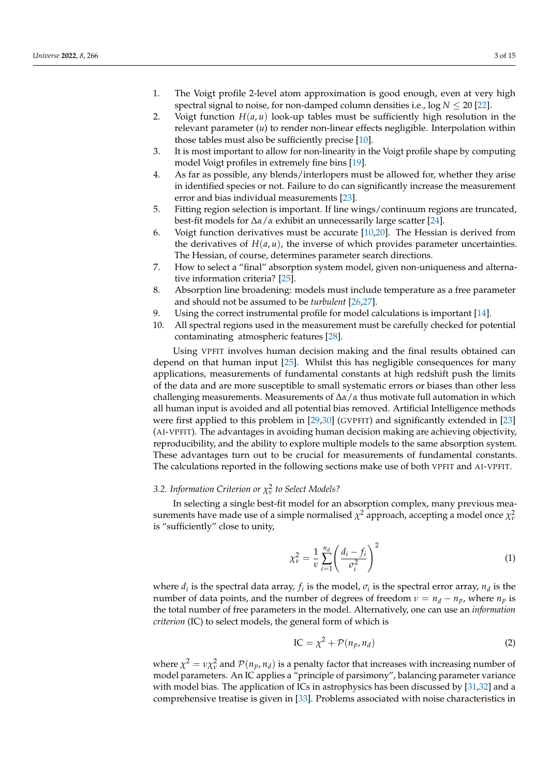- 1. The Voigt profile 2-level atom approximation is good enough, even at very high spectral signal to noise, for non-damped column densities i.e.,  $\log N \le 20$  [\[22\]](#page-13-20).
- 2. Voigt function  $H(a, u)$  look-up tables must be sufficiently high resolution in the relevant parameter (*u*) to render non-linear effects negligible. Interpolation within those tables must also be sufficiently precise [\[10\]](#page-13-9).
- 3. It is most important to allow for non-linearity in the Voigt profile shape by computing model Voigt profiles in extremely fine bins [\[19\]](#page-13-17).
- 4. As far as possible, any blends/interlopers must be allowed for, whether they arise in identified species or not. Failure to do can significantly increase the measurement error and bias individual measurements [\[23\]](#page-13-21).
- 5. Fitting region selection is important. If line wings/continuum regions are truncated, best-fit models for ∆*α*/*α* exhibit an unnecessarily large scatter [\[24\]](#page-13-22).
- 6. Voigt function derivatives must be accurate  $[10,20]$  $[10,20]$ . The Hessian is derived from the derivatives of  $H(a, u)$ , the inverse of which provides parameter uncertainties. The Hessian, of course, determines parameter search directions.
- 7. How to select a "final" absorption system model, given non-uniqueness and alternative information criteria? [\[25\]](#page-13-23).
- 8. Absorption line broadening: models must include temperature as a free parameter and should not be assumed to be *turbulent* [\[26,](#page-13-24)[27\]](#page-13-25).
- 9. Using the correct instrumental profile for model calculations is important [\[14\]](#page-13-12).
- 10. All spectral regions used in the measurement must be carefully checked for potential contaminating atmospheric features [\[28\]](#page-14-0).

Using VPFIT involves human decision making and the final results obtained can depend on that human input [\[25\]](#page-13-23). Whilst this has negligible consequences for many applications, measurements of fundamental constants at high redshift push the limits of the data and are more susceptible to small systematic errors or biases than other less challenging measurements. Measurements of ∆*α*/*α* thus motivate full automation in which all human input is avoided and all potential bias removed. Artificial Intelligence methods were first applied to this problem in [\[29](#page-14-1)[,30\]](#page-14-2) (GVPFIT) and significantly extended in [\[23\]](#page-13-21) (AI-VPFIT). The advantages in avoiding human decision making are achieving objectivity, reproducibility, and the ability to explore multiple models to the same absorption system. These advantages turn out to be crucial for measurements of fundamental constants. The calculations reported in the following sections make use of both VPFIT and AI-VPFIT.

# *3.2. Information Criterion or χ* 2 *ν to Select Models?*

In selecting a single best-fit model for an absorption complex, many previous measurements have made use of a simple normalised  $\chi^2$  approach, accepting a model once  $\chi^2_\nu$ is "sufficiently" close to unity,

$$
\chi_{\nu}^{2} = \frac{1}{\nu} \sum_{i=1}^{n_d} \left( \frac{d_i - f_i}{\sigma_i^{2}} \right)^{2}
$$
 (1)

where  $d_i$  is the spectral data array,  $f_i$  is the model,  $\sigma_i$  is the spectral error array,  $n_d$  is the number of data points, and the number of degrees of freedom  $\nu = n_d - n_p$ , where  $n_p$  is the total number of free parameters in the model. Alternatively, one can use an *information criterion* (IC) to select models, the general form of which is

<span id="page-2-0"></span>
$$
IC = \chi^2 + \mathcal{P}(n_p, n_d)
$$
 (2)

where  $\chi^2 = \nu \chi^2_{\nu}$  and  $\mathcal{P}(n_p, n_d)$  is a penalty factor that increases with increasing number of model parameters. An IC applies a "principle of parsimony", balancing parameter variance with model bias. The application of ICs in astrophysics has been discussed by [\[31,](#page-14-3)[32\]](#page-14-4) and a comprehensive treatise is given in [\[33\]](#page-14-5). Problems associated with noise characteristics in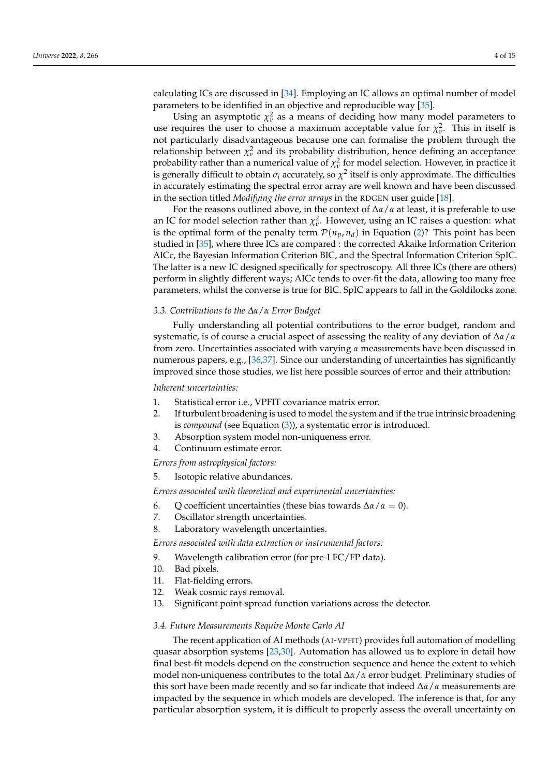calculating ICs are discussed in [\[34\]](#page-14-6). Employing an IC allows an optimal number of model parameters to be identified in an objective and reproducible way [\[35\]](#page-14-7).

Using an asymptotic  $\chi^2_\nu$  as a means of deciding how many model parameters to use requires the user to choose a maximum acceptable value for  $\chi^2_{\nu}$ . This in itself is not particularly disadvantageous because one can formalise the problem through the *relationship between*  $\chi^2_\nu$  and its probability distribution, hence defining an acceptance probability rather than a numerical value of  $\chi^2_{\nu}$  for model selection. However, in practice it is generally difficult to obtain  $\sigma_i$  accurately, so  $\chi^2$  itself is only approximate. The difficulties in accurately estimating the spectral error array are well known and have been discussed in the section titled *Modifying the error arrays* in the RDGEN user guide [\[18\]](#page-13-16).

For the reasons outlined above, in the context of ∆*α*/*α* at least, it is preferable to use an IC for model selection rather than  $\chi^2_{\nu}$ . However, using an IC raises a question: what is the optimal form of the penalty term  $\mathcal{P}(n_p, n_d)$  in Equation [\(2\)](#page-2-0)? This point has been studied in [\[35\]](#page-14-7), where three ICs are compared : the corrected Akaike Information Criterion AICc, the Bayesian Information Criterion BIC, and the Spectral Information Criterion SpIC. The latter is a new IC designed specifically for spectroscopy. All three ICs (there are others) perform in slightly different ways; AICc tends to over-fit the data, allowing too many free parameters, whilst the converse is true for BIC. SpIC appears to fall in the Goldilocks zone.

#### *3.3. Contributions to the ∆α*/*α Error Budget*

Fully understanding all potential contributions to the error budget, random and systematic, is of course a crucial aspect of assessing the reality of any deviation of ∆*α*/*α* from zero. Uncertainties associated with varying *α* measurements have been discussed in numerous papers, e.g., [\[36](#page-14-8)[,37\]](#page-14-9). Since our understanding of uncertainties has significantly improved since those studies, we list here possible sources of error and their attribution:

*Inherent uncertainties:*

- 1. Statistical error i.e., VPFIT covariance matrix error.
- 2. If turbulent broadening is used to model the system and if the true intrinsic broadening is *compound* (see Equation [\(3\)](#page-4-1)), a systematic error is introduced.
- 3. Absorption system model non-uniqueness error.
- 4. Continuum estimate error.

*Errors from astrophysical factors:*

5. Isotopic relative abundances.

*Errors associated with theoretical and experimental uncertainties:*

- 6. Q coefficient uncertainties (these bias towards ∆*α*/*α* = 0).
- 7. Oscillator strength uncertainties.
- 8. Laboratory wavelength uncertainties.

*Errors associated with data extraction or instrumental factors:*

- 9. Wavelength calibration error (for pre-LFC/FP data).
- 10. Bad pixels.
- 11. Flat-fielding errors.
- 12. Weak cosmic rays removal.
- 13. Significant point-spread function variations across the detector.

#### *3.4. Future Measurements Require Monte Carlo AI*

The recent application of AI methods (AI-VPFIT) provides full automation of modelling quasar absorption systems [\[23,](#page-13-21)[30\]](#page-14-2). Automation has allowed us to explore in detail how final best-fit models depend on the construction sequence and hence the extent to which model non-uniqueness contributes to the total ∆*α*/*α* error budget. Preliminary studies of this sort have been made recently and so far indicate that indeed ∆*α*/*α* measurements are impacted by the sequence in which models are developed. The inference is that, for any particular absorption system, it is difficult to properly assess the overall uncertainty on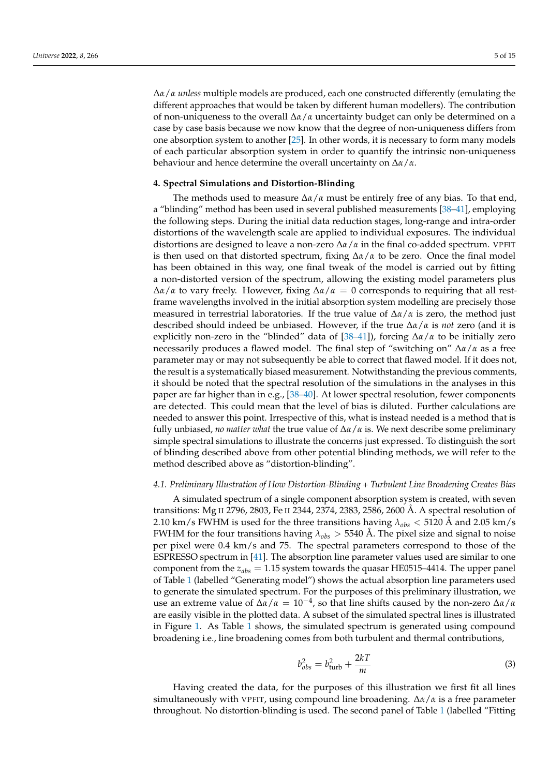∆*α*/*α unless* multiple models are produced, each one constructed differently (emulating the different approaches that would be taken by different human modellers). The contribution of non-uniqueness to the overall ∆*α*/*α* uncertainty budget can only be determined on a case by case basis because we now know that the degree of non-uniqueness differs from one absorption system to another [\[25\]](#page-13-23). In other words, it is necessary to form many models of each particular absorption system in order to quantify the intrinsic non-uniqueness behaviour and hence determine the overall uncertainty on ∆*α*/*α*.

#### <span id="page-4-0"></span>**4. Spectral Simulations and Distortion-Blinding**

The methods used to measure  $\Delta \alpha / \alpha$  must be entirely free of any bias. To that end, a "blinding" method has been used in several published measurements [\[38](#page-14-10)[–41\]](#page-14-11), employing the following steps. During the initial data reduction stages, long-range and intra-order distortions of the wavelength scale are applied to individual exposures. The individual distortions are designed to leave a non-zero ∆*α*/*α* in the final co-added spectrum. VPFIT is then used on that distorted spectrum, fixing ∆*α*/*α* to be zero. Once the final model has been obtained in this way, one final tweak of the model is carried out by fitting a non-distorted version of the spectrum, allowing the existing model parameters plus ∆*α*/*α* to vary freely. However, fixing ∆*α*/*α* = 0 corresponds to requiring that all restframe wavelengths involved in the initial absorption system modelling are precisely those measured in terrestrial laboratories. If the true value of ∆*α*/*α* is zero, the method just described should indeed be unbiased. However, if the true ∆*α*/*α* is *not* zero (and it is explicitly non-zero in the "blinded" data of [\[38](#page-14-10)[–41\]](#page-14-11)), forcing ∆*α*/*α* to be initially zero necessarily produces a flawed model. The final step of "switching on" ∆*α*/*α* as a free parameter may or may not subsequently be able to correct that flawed model. If it does not, the result is a systematically biased measurement. Notwithstanding the previous comments, it should be noted that the spectral resolution of the simulations in the analyses in this paper are far higher than in e.g., [\[38](#page-14-10)[–40\]](#page-14-12). At lower spectral resolution, fewer components are detected. This could mean that the level of bias is diluted. Further calculations are needed to answer this point. Irrespective of this, what is instead needed is a method that is fully unbiased, *no matter what* the true value of ∆*α*/*α* is. We next describe some preliminary simple spectral simulations to illustrate the concerns just expressed. To distinguish the sort of blinding described above from other potential blinding methods, we will refer to the method described above as "distortion-blinding".

#### <span id="page-4-2"></span>*4.1. Preliminary Illustration of How Distortion-Blinding + Turbulent Line Broadening Creates Bias*

A simulated spectrum of a single component absorption system is created, with seven transitions: Mg II 2796, 2803, Fe II 2344, 2374, 2383, 2586, 2600 Å. A spectral resolution of 2.10 km/s FWHM is used for the three transitions having *λobs* < 5120 Å and 2.05 km/s FWHM for the four transitions having *λobs* > 5540 Å. The pixel size and signal to noise per pixel were 0.4 km/s and 75. The spectral parameters correspond to those of the ESPRESSO spectrum in [\[41\]](#page-14-11). The absorption line parameter values used are similar to one component from the *zabs* = 1.15 system towards the quasar HE0515–4414. The upper panel of Table [1](#page-6-0) (labelled "Generating model") shows the actual absorption line parameters used to generate the simulated spectrum. For the purposes of this preliminary illustration, we use an extreme value of  $\Delta\alpha/\alpha = 10^{-4}$ , so that line shifts caused by the non-zero  $\Delta\alpha/\alpha$ are easily visible in the plotted data. A subset of the simulated spectral lines is illustrated in Figure [1.](#page-5-0) As Table [1](#page-6-0) shows, the simulated spectrum is generated using compound broadening i.e., line broadening comes from both turbulent and thermal contributions,

<span id="page-4-1"></span>
$$
b_{obs}^2 = b_{\text{turb}}^2 + \frac{2kT}{m} \tag{3}
$$

Having created the data, for the purposes of this illustration we first fit all lines simultaneously with VPFIT, using compound line broadening. ∆*α*/*α* is a free parameter throughout. No distortion-blinding is used. The second panel of Table [1](#page-6-0) (labelled "Fitting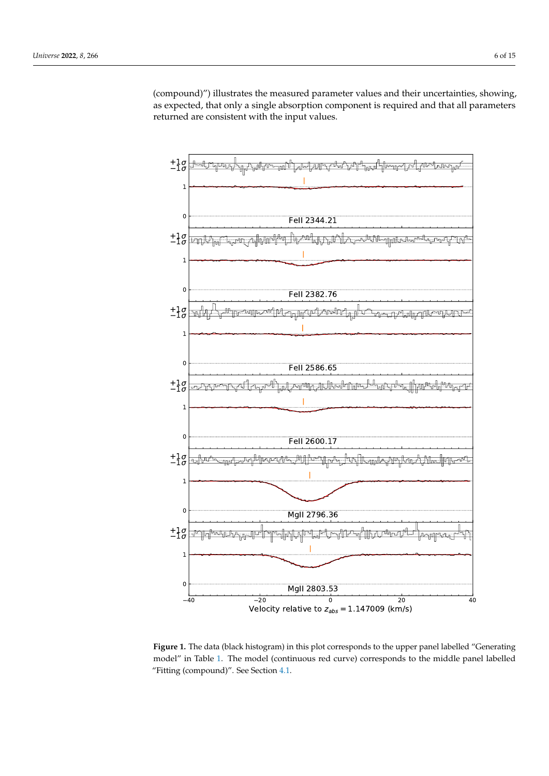(compound)") illustrates the measured parameter values and their uncertainties, showing, as expected, that only a single absorption component is required and that all parameters returned are consistent with the input values.

<span id="page-5-0"></span>

**Figure 1.** The data (black histogram) in this plot corresponds to the upper panel labelled "Generating model" in Table [1.](#page-6-0) The model (continuous red curve) corresponds to the middle panel labelled "Fitting (compound)". See Section [4.1.](#page-4-2)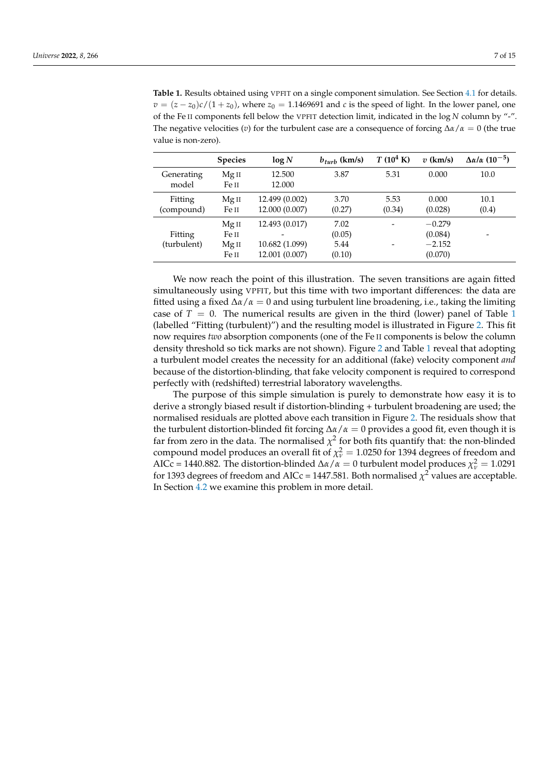<span id="page-6-0"></span>**Table 1.** Results obtained using VPFIT on a single component simulation. See Section [4.1](#page-4-2) for details.  $v = (z - z_0)c/(1 + z_0)$ , where  $z_0 = 1.1469691$  and *c* is the speed of light. In the lower panel, one of the Fe II components fell below the VPFIT detection limit, indicated in the log *N* column by "-". The negative velocities (*v*) for the turbulent case are a consequence of forcing  $\Delta \alpha / \alpha = 0$  (the true value is non-zero).

|                        | <b>Species</b>                              | log N                                              | $b_{turb}$ (km/s)                | $T(10^4 \text{ K})$      | $v$ (km/s)                                 | $\Delta \alpha / \alpha$ (10 <sup>-5</sup> ) |
|------------------------|---------------------------------------------|----------------------------------------------------|----------------------------------|--------------------------|--------------------------------------------|----------------------------------------------|
| Generating<br>model    | Mg II<br>Fe II                              | 12.500<br>12.000                                   | 3.87                             | 5.31                     | 0.000                                      | 10.0                                         |
| Fitting<br>(compound)  | Mg II<br>Fe II                              | 12.499 (0.002)<br>12.000 (0.007)                   | 3.70<br>(0.27)                   | 5.53<br>(0.34)           | 0.000<br>(0.028)                           | 10.1<br>(0.4)                                |
| Fitting<br>(turbulent) | Mg <sub>II</sub><br>Fe II<br>Mg II<br>Fe II | 12.493 (0.017)<br>10.682 (1.099)<br>12.001 (0.007) | 7.02<br>(0.05)<br>5.44<br>(0.10) | $\overline{\phantom{0}}$ | $-0.279$<br>(0.084)<br>$-2.152$<br>(0.070) |                                              |

We now reach the point of this illustration. The seven transitions are again fitted simultaneously using VPFIT, but this time with two important differences: the data are fitted using a fixed  $\Delta\alpha/\alpha = 0$  and using turbulent line broadening, i.e., taking the limiting case of  $T = 0$ . The numerical results are given in the third (lower) panel of Table [1](#page-6-0) (labelled "Fitting (turbulent)") and the resulting model is illustrated in Figure [2.](#page-7-0) This fit now requires *two* absorption components (one of the Fe II components is below the column density threshold so tick marks are not shown). Figure [2](#page-7-0) and Table [1](#page-6-0) reveal that adopting a turbulent model creates the necessity for an additional (fake) velocity component *and* because of the distortion-blinding, that fake velocity component is required to correspond perfectly with (redshifted) terrestrial laboratory wavelengths.

The purpose of this simple simulation is purely to demonstrate how easy it is to derive a strongly biased result if distortion-blinding + turbulent broadening are used; the normalised residuals are plotted above each transition in Figure [2.](#page-7-0) The residuals show that the turbulent distortion-blinded fit forcing  $\Delta\alpha/\alpha = 0$  provides a good fit, even though it is far from zero in the data. The normalised  $\chi^2$  for both fits quantify that: the non-blinded compound model produces an overall fit of  $\chi^2_{\nu} = 1.0250$  for 1394 degrees of freedom and AICc = 1440.882. The distortion-blinded  $\Delta\alpha/\alpha = 0$  turbulent model produces  $\chi^2_{\nu} = 1.0291$ for 1393 degrees of freedom and AICc = 1447.581. Both normalised  $\chi^2$  values are acceptable. In Section [4.2](#page-7-1) we examine this problem in more detail.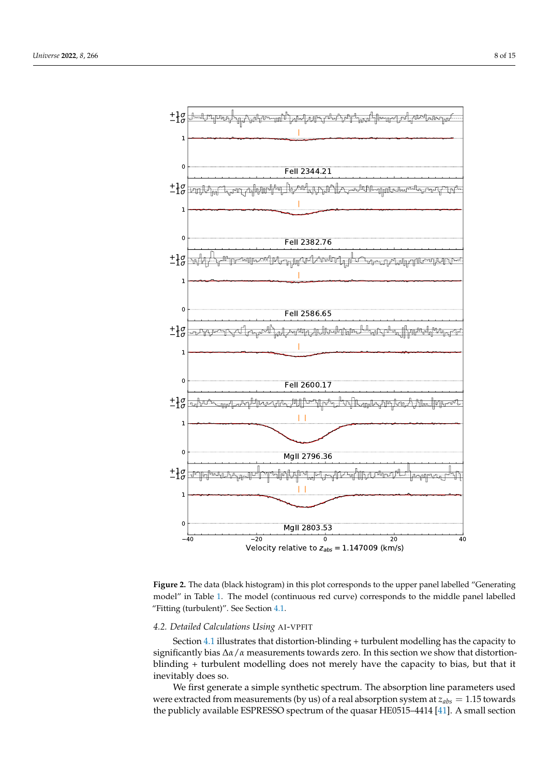<span id="page-7-0"></span>

**Figure 2.** The data (black histogram) in this plot corresponds to the upper panel labelled "Generating model" in Table [1.](#page-6-0) The model (continuous red curve) corresponds to the middle panel labelled "Fitting (turbulent)". See Section [4.1.](#page-4-2)

## <span id="page-7-1"></span>*4.2. Detailed Calculations Using* AI-VPFIT

Section [4.1](#page-4-2) illustrates that distortion-blinding + turbulent modelling has the capacity to significantly bias ∆*α*/*α* measurements towards zero. In this section we show that distortionblinding + turbulent modelling does not merely have the capacity to bias, but that it inevitably does so.

We first generate a simple synthetic spectrum. The absorption line parameters used were extracted from measurements (by us) of a real absorption system at *zabs* = 1.15 towards the publicly available ESPRESSO spectrum of the quasar HE0515–4414 [\[41\]](#page-14-11). A small section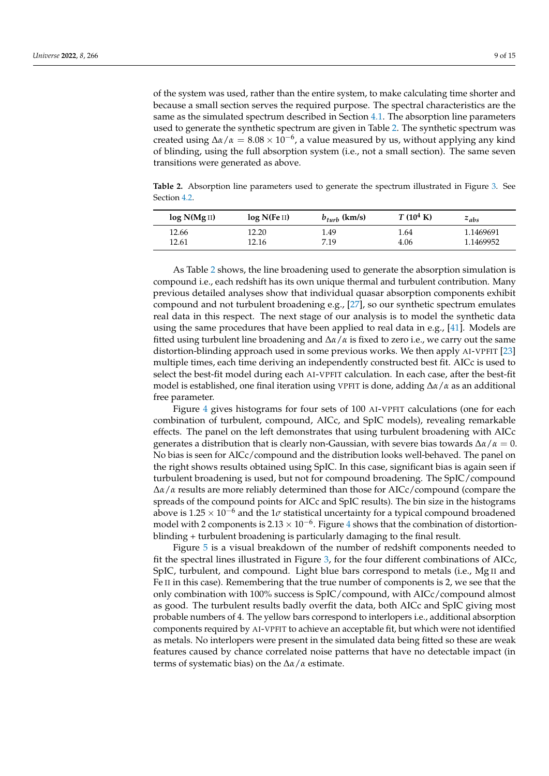of the system was used, rather than the entire system, to make calculating time shorter and because a small section serves the required purpose. The spectral characteristics are the same as the simulated spectrum described in Section [4.1.](#page-4-2) The absorption line parameters used to generate the synthetic spectrum are given in Table [2.](#page-8-0) The synthetic spectrum was created using  $\Delta \alpha / \alpha = 8.08 \times 10^{-6}$ , a value measured by us, without applying any kind of blinding, using the full absorption system (i.e., not a small section). The same seven transitions were generated as above.

<span id="page-8-0"></span>**Table 2.** Absorption line parameters used to generate the spectrum illustrated in Figure [3.](#page-9-0) See Section [4.2.](#page-7-1)

| log N(MgII) | log N(Fe II) | $b_{turb}$ (km/s) | $T(10^4 \text{ K})$ | $z_{abs}$ |
|-------------|--------------|-------------------|---------------------|-----------|
| 12.66       | 12.20        | 1.49              | 1.64                | 1.1469691 |
| 12.61       | 12.16        | 7.19              | 4.06                | 1.1469952 |

As Table [2](#page-8-0) shows, the line broadening used to generate the absorption simulation is compound i.e., each redshift has its own unique thermal and turbulent contribution. Many previous detailed analyses show that individual quasar absorption components exhibit compound and not turbulent broadening e.g., [\[27\]](#page-13-25), so our synthetic spectrum emulates real data in this respect. The next stage of our analysis is to model the synthetic data using the same procedures that have been applied to real data in e.g., [\[41\]](#page-14-11). Models are fitted using turbulent line broadening and  $\Delta \alpha / \alpha$  is fixed to zero i.e., we carry out the same distortion-blinding approach used in some previous works. We then apply AI-VPFIT [\[23\]](#page-13-21) multiple times, each time deriving an independently constructed best fit. AICc is used to select the best-fit model during each AI-VPFIT calculation. In each case, after the best-fit model is established, one final iteration using VPFIT is done, adding ∆*α*/*α* as an additional free parameter.

Figure [4](#page-10-0) gives histograms for four sets of 100 AI-VPFIT calculations (one for each combination of turbulent, compound, AICc, and SpIC models), revealing remarkable effects. The panel on the left demonstrates that using turbulent broadening with AICc generates a distribution that is clearly non-Gaussian, with severe bias towards ∆*α*/*α* = 0. No bias is seen for AICc/compound and the distribution looks well-behaved. The panel on the right shows results obtained using SpIC. In this case, significant bias is again seen if turbulent broadening is used, but not for compound broadening. The SpIC/compound ∆*α*/*α* results are more reliably determined than those for AICc/compound (compare the spreads of the compound points for AICc and SpIC results). The bin size in the histograms above is  $1.25 \times 10^{-6}$  and the 1 $\sigma$  statistical uncertainty for a typical compound broadened model with 2 components is  $2.13 \times 10^{-6}$ . Figure [4](#page-10-0) shows that the combination of distortionblinding + turbulent broadening is particularly damaging to the final result.

Figure [5](#page-10-1) is a visual breakdown of the number of redshift components needed to fit the spectral lines illustrated in Figure [3,](#page-9-0) for the four different combinations of AICc, SpIC, turbulent, and compound. Light blue bars correspond to metals (i.e., Mg II and Fe II in this case). Remembering that the true number of components is 2, we see that the only combination with 100% success is SpIC/compound, with AICc/compound almost as good. The turbulent results badly overfit the data, both AICc and SpIC giving most probable numbers of 4. The yellow bars correspond to interlopers i.e., additional absorption components required by AI-VPFIT to achieve an acceptable fit, but which were not identified as metals. No interlopers were present in the simulated data being fitted so these are weak features caused by chance correlated noise patterns that have no detectable impact (in terms of systematic bias) on the ∆*α*/*α* estimate.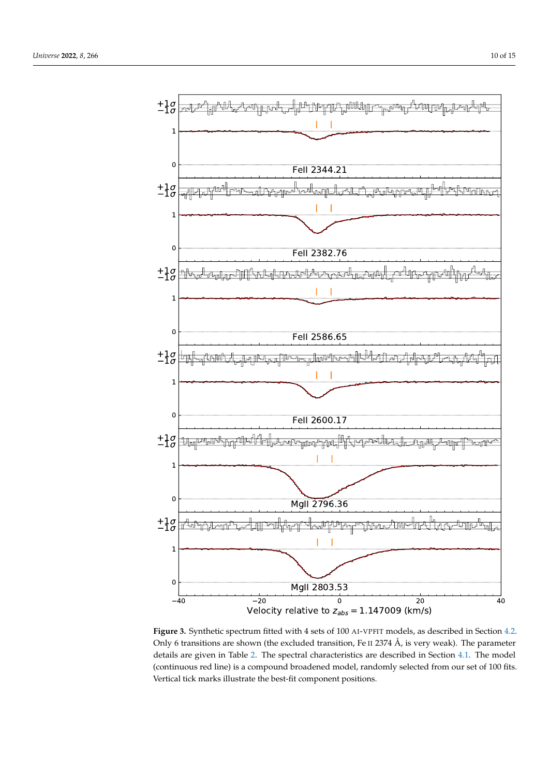<span id="page-9-0"></span>

**Figure 3.** Synthetic spectrum fitted with 4 sets of 100 AI-VPFIT models, as described in Section [4.2.](#page-7-1) Only 6 transitions are shown (the excluded transition, Fe II 2374 Å, is very weak). The parameter details are given in Table [2.](#page-8-0) The spectral characteristics are described in Section [4.1.](#page-4-2) The model (continuous red line) is a compound broadened model, randomly selected from our set of 100 fits. Vertical tick marks illustrate the best-fit component positions.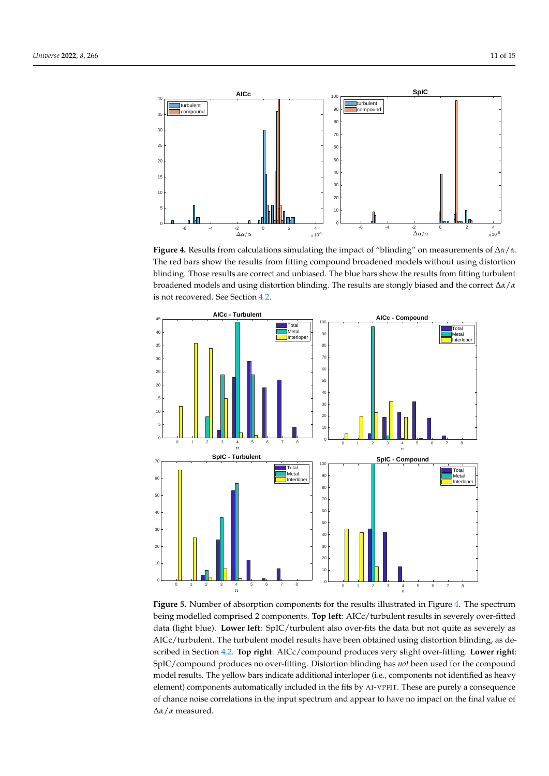<span id="page-10-0"></span>

**Figure 4.** Results from calculations simulating the impact of "blinding" on measurements of ∆*α*/*α*. The red bars show the results from fitting compound broadened models without using distortion blinding. Those results are correct and unbiased. The blue bars show the results from fitting turbulent broadened models and using distortion blinding. The results are stongly biased and the correct ∆*α*/*α* is not recovered. See Section [4.2.](#page-7-1)

<span id="page-10-1"></span>

**Figure 5.** Number of absorption components for the results illustrated in Figure [4.](#page-10-0) The spectrum being modelled comprised 2 components. **Top left**: AICc/turbulent results in severely over-fitted data (light blue). **Lower left**: SpIC/turbulent also over-fits the data but not quite as severely as AICc/turbulent. The turbulent model results have been obtained using distortion blinding, as described in Section [4.2.](#page-7-1) **Top right**: AICc/compound produces very slight over-fitting. **Lower right**: SpIC/compound produces no over-fitting. Distortion blinding has *not* been used for the compound model results. The yellow bars indicate additional interloper (i.e., components not identified as heavy element) components automatically included in the fits by AI-VPFIT. These are purely a consequence of chance noise correlations in the input spectrum and appear to have no impact on the final value of ∆*α*/*α* measured.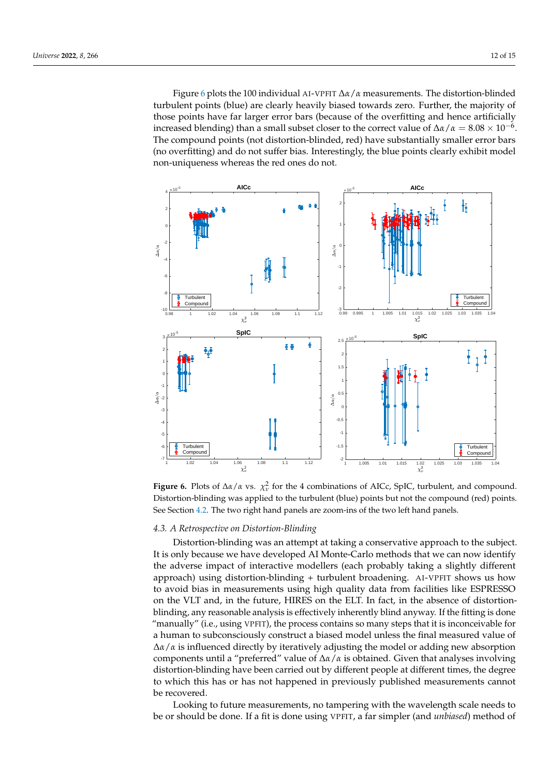Figure [6](#page-11-0) plots the 100 individual AI-VPFIT ∆*α*/*α* measurements. The distortion-blinded turbulent points (blue) are clearly heavily biased towards zero. Further, the majority of those points have far larger error bars (because of the overfitting and hence artificially increased blending) than a small subset closer to the correct value of  $\Delta\alpha/\alpha = 8.08 \times 10^{-6}$ . The compound points (not distortion-blinded, red) have substantially smaller error bars (no overfitting) and do not suffer bias. Interestingly, the blue points clearly exhibit model non-uniqueness whereas the red ones do not.

<span id="page-11-0"></span>

**Figure 6.** Plots of  $\Delta\alpha/\alpha$  vs.  $\chi^2_\nu$  for the 4 combinations of AICc, SpIC, turbulent, and compound. Distortion-blinding was applied to the turbulent (blue) points but not the compound (red) points. See Section [4.2.](#page-7-1) The two right hand panels are zoom-ins of the two left hand panels.

#### *4.3. A Retrospective on Distortion-Blinding*

Distortion-blinding was an attempt at taking a conservative approach to the subject. It is only because we have developed AI Monte-Carlo methods that we can now identify the adverse impact of interactive modellers (each probably taking a slightly different approach) using distortion-blinding + turbulent broadening. AI-VPFIT shows us how to avoid bias in measurements using high quality data from facilities like ESPRESSO on the VLT and, in the future, HIRES on the ELT. In fact, in the absence of distortionblinding, any reasonable analysis is effectively inherently blind anyway. If the fitting is done "manually" (i.e., using VPFIT), the process contains so many steps that it is inconceivable for a human to subconsciously construct a biased model unless the final measured value of ∆*α*/*α* is influenced directly by iteratively adjusting the model or adding new absorption components until a "preferred" value of ∆*α*/*α* is obtained. Given that analyses involving distortion-blinding have been carried out by different people at different times, the degree to which this has or has not happened in previously published measurements cannot be recovered.

Looking to future measurements, no tampering with the wavelength scale needs to be or should be done. If a fit is done using VPFIT, a far simpler (and *unbiased*) method of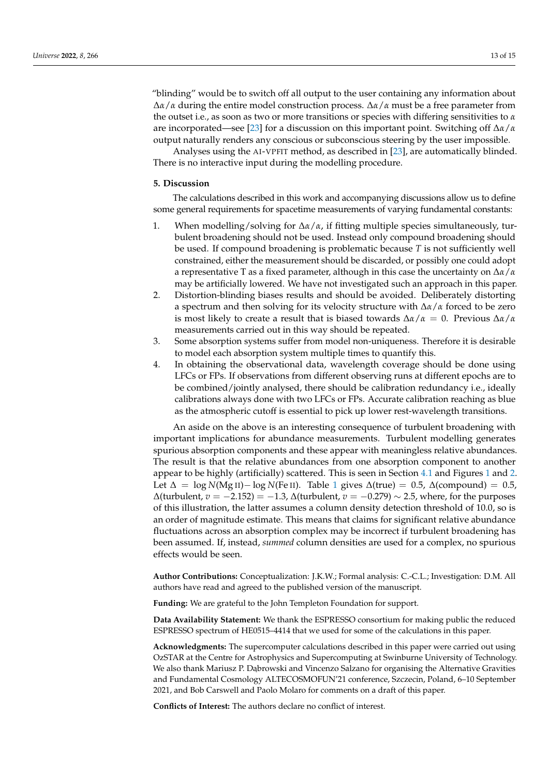"blinding" would be to switch off all output to the user containing any information about ∆*α*/*α* during the entire model construction process. ∆*α*/*α* must be a free parameter from the outset i.e., as soon as two or more transitions or species with differing sensitivities to *α* are incorporated—see [\[23\]](#page-13-21) for a discussion on this important point. Switching off ∆*α*/*α* output naturally renders any conscious or subconscious steering by the user impossible.

Analyses using the AI-VPFIT method, as described in [\[23\]](#page-13-21), are automatically blinded. There is no interactive input during the modelling procedure.

#### <span id="page-12-0"></span>**5. Discussion**

The calculations described in this work and accompanying discussions allow us to define some general requirements for spacetime measurements of varying fundamental constants:

- 1. When modelling/solving for ∆*α*/*α*, if fitting multiple species simultaneously, turbulent broadening should not be used. Instead only compound broadening should be used. If compound broadening is problematic because *T* is not sufficiently well constrained, either the measurement should be discarded, or possibly one could adopt a representative T as a fixed parameter, although in this case the uncertainty on ∆*α*/*α* may be artificially lowered. We have not investigated such an approach in this paper.
- 2. Distortion-blinding biases results and should be avoided. Deliberately distorting a spectrum and then solving for its velocity structure with ∆*α*/*α* forced to be zero is most likely to create a result that is biased towards  $\Delta \alpha / \alpha = 0$ . Previous  $\Delta \alpha / \alpha$ measurements carried out in this way should be repeated.
- 3. Some absorption systems suffer from model non-uniqueness. Therefore it is desirable to model each absorption system multiple times to quantify this.
- 4. In obtaining the observational data, wavelength coverage should be done using LFCs or FPs. If observations from different observing runs at different epochs are to be combined/jointly analysed, there should be calibration redundancy i.e., ideally calibrations always done with two LFCs or FPs. Accurate calibration reaching as blue as the atmospheric cutoff is essential to pick up lower rest-wavelength transitions.

An aside on the above is an interesting consequence of turbulent broadening with important implications for abundance measurements. Turbulent modelling generates spurious absorption components and these appear with meaningless relative abundances. The result is that the relative abundances from one absorption component to another appear to be highly (artificially) scattered. This is seen in Section [4.1](#page-4-2) and Figures [1](#page-5-0) and [2.](#page-7-0) Let  $\Delta = \log N(Mg_{II}) - \log N(Fe_{II})$ . Table [1](#page-6-0) gives  $\Delta$ (true) = 0.5,  $\Delta$ (compound) = 0.5, ∆(turbulent, *v* = −2.152) = −1.3, ∆(turbulent, *v* = −0.279) ∼ 2.5, where, for the purposes of this illustration, the latter assumes a column density detection threshold of 10.0, so is an order of magnitude estimate. This means that claims for significant relative abundance fluctuations across an absorption complex may be incorrect if turbulent broadening has been assumed. If, instead, *summed* column densities are used for a complex, no spurious effects would be seen.

**Author Contributions:** Conceptualization: J.K.W.; Formal analysis: C.-C.L.; Investigation: D.M. All authors have read and agreed to the published version of the manuscript.

**Funding:** We are grateful to the John Templeton Foundation for support.

**Data Availability Statement:** We thank the ESPRESSO consortium for making public the reduced ESPRESSO spectrum of HE0515–4414 that we used for some of the calculations in this paper.

**Acknowledgments:** The supercomputer calculations described in this paper were carried out using OzSTAR at the Centre for Astrophysics and Supercomputing at Swinburne University of Technology. We also thank Mariusz P. Dabrowski and Vincenzo Salzano for organising the Alternative Gravities and Fundamental Cosmology ALTECOSMOFUN'21 conference, Szczecin, Poland, 6–10 September 2021, and Bob Carswell and Paolo Molaro for comments on a draft of this paper.

**Conflicts of Interest:** The authors declare no conflict of interest.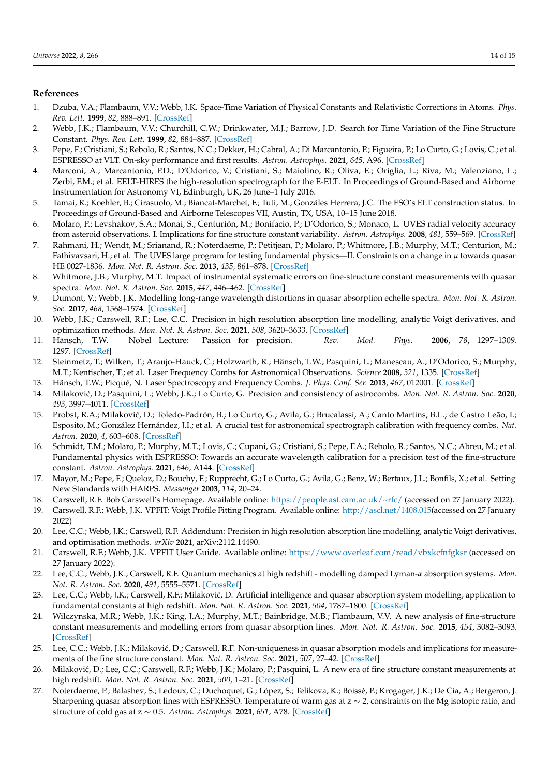# **References**

- <span id="page-13-0"></span>1. Dzuba, V.A.; Flambaum, V.V.; Webb, J.K. Space-Time Variation of Physical Constants and Relativistic Corrections in Atoms. *Phys. Rev. Lett.* **1999**, *82*, 888–891. [\[CrossRef\]](http://doi.org/10.1103/PhysRevLett.82.888)
- <span id="page-13-1"></span>2. Webb, J.K.; Flambaum, V.V.; Churchill, C.W.; Drinkwater, M.J.; Barrow, J.D. Search for Time Variation of the Fine Structure Constant. *Phys. Rev. Lett.* **1999**, *82*, 884–887. [\[CrossRef\]](http://dx.doi.org/10.1103/PhysRevLett.82.884)
- <span id="page-13-2"></span>3. Pepe, F.; Cristiani, S.; Rebolo, R.; Santos, N.C.; Dekker, H.; Cabral, A.; Di Marcantonio, P.; Figueira, P.; Lo Curto, G.; Lovis, C.; et al. ESPRESSO at VLT. On-sky performance and first results. *Astron. Astrophys.* **2021**, *645*, A96. [\[CrossRef\]](http://dx.doi.org/10.1051/0004-6361/202038306)
- <span id="page-13-3"></span>4. Marconi, A.; Marcantonio, P.D.; D'Odorico, V.; Cristiani, S.; Maiolino, R.; Oliva, E.; Origlia, L.; Riva, M.; Valenziano, L.; Zerbi, F.M.; et al. EELT-HIRES the high-resolution spectrograph for the E-ELT. In Proceedings of Ground-Based and Airborne Instrumentation for Astronomy VI, Edinburgh, UK, 26 June–1 July 2016.
- <span id="page-13-4"></span>5. Tamai, R.; Koehler, B.; Cirasuolo, M.; Biancat-Marchet, F.; Tuti, M.; Gonzáles Herrera, J.C. The ESO's ELT construction status. In Proceedings of Ground-Based and Airborne Telescopes VII, Austin, TX, USA, 10–15 June 2018.
- <span id="page-13-5"></span>6. Molaro, P.; Levshakov, S.A.; Monai, S.; Centurión, M.; Bonifacio, P.; D'Odorico, S.; Monaco, L. UVES radial velocity accuracy from asteroid observations. I. Implications for fine structure constant variability. *Astron. Astrophys.* **2008**, *481*, 559–569. [\[CrossRef\]](http://dx.doi.org/10.1051/0004-6361:20078864)
- <span id="page-13-6"></span>7. Rahmani, H.; Wendt, M.; Srianand, R.; Noterdaeme, P.; Petitjean, P.; Molaro, P.; Whitmore, J.B.; Murphy, M.T.; Centurion, M.; Fathivavsari, H.; et al. The UVES large program for testing fundamental physics—II. Constraints on a change in *µ* towards quasar HE 0027-1836. *Mon. Not. R. Astron. Soc.* **2013**, *435*, 861–878. [\[CrossRef\]](http://dx.doi.org/10.1093/mnras/stt1356)
- <span id="page-13-7"></span>8. Whitmore, J.B.; Murphy, M.T. Impact of instrumental systematic errors on fine-structure constant measurements with quasar spectra. *Mon. Not. R. Astron. Soc.* **2015**, *447*, 446–462. [\[CrossRef\]](http://dx.doi.org/10.1093/mnras/stu2420)
- <span id="page-13-8"></span>9. Dumont, V.; Webb, J.K. Modelling long-range wavelength distortions in quasar absorption echelle spectra. *Mon. Not. R. Astron. Soc.* **2017**, *468*, 1568–1574. [\[CrossRef\]](http://dx.doi.org/10.1093/mnras/stx381)
- <span id="page-13-9"></span>10. Webb, J.K.; Carswell, R.F.; Lee, C.C. Precision in high resolution absorption line modelling, analytic Voigt derivatives, and optimization methods. *Mon. Not. R. Astron. Soc.* **2021**, *508*, 3620–3633. [\[CrossRef\]](http://dx.doi.org/10.1093/mnras/stab2895)
- <span id="page-13-10"></span>11. Hänsch, T.W. Nobel Lecture: Passion for precision. *Rev. Mod. Phys.* **2006**, *78*, 1297–1309. 1297. [\[CrossRef\]](http://dx.doi.org/10.1103/RevModPhys.78.1297)
- 12. Steinmetz, T.; Wilken, T.; Araujo-Hauck, C.; Holzwarth, R.; Hänsch, T.W.; Pasquini, L.; Manescau, A.; D'Odorico, S.; Murphy, M.T.; Kentischer, T.; et al. Laser Frequency Combs for Astronomical Observations. *Science* **2008**, *321*, 1335. [\[CrossRef\]](http://dx.doi.org/10.1126/science.1161030)
- <span id="page-13-11"></span>13. Hänsch, T.W.; Picqué, N. Laser Spectroscopy and Frequency Combs. *J. Phys. Conf. Ser.* **2013**, *467*, 012001. [\[CrossRef\]](http://dx.doi.org/10.1088/1742-6596/467/1/012001)
- <span id="page-13-12"></span>14. Milakovi´c, D.; Pasquini, L.; Webb, J.K.; Lo Curto, G. Precision and consistency of astrocombs. *Mon. Not. R. Astron. Soc.* **2020**, *493*, 3997–4011. [\[CrossRef\]](http://dx.doi.org/10.1093/mnras/staa356)
- <span id="page-13-15"></span>15. Probst, R.A.; Milaković, D.; Toledo-Padrón, B.; Lo Curto, G.; Avila, G.; Brucalassi, A.; Canto Martins, B.L.; de Castro Leão, I.; Esposito, M.; González Hernández, J.I.; et al. A crucial test for astronomical spectrograph calibration with frequency combs. *Nat. Astron.* **2020**, *4*, 603–608. [\[CrossRef\]](http://dx.doi.org/10.1038/s41550-020-1010-x)
- <span id="page-13-13"></span>16. Schmidt, T.M.; Molaro, P.; Murphy, M.T.; Lovis, C.; Cupani, G.; Cristiani, S.; Pepe, F.A.; Rebolo, R.; Santos, N.C.; Abreu, M.; et al. Fundamental physics with ESPRESSO: Towards an accurate wavelength calibration for a precision test of the fine-structure constant. *Astron. Astrophys.* **2021**, *646*, A144. [\[CrossRef\]](http://dx.doi.org/10.1051/0004-6361/202039345)
- <span id="page-13-14"></span>17. Mayor, M.; Pepe, F.; Queloz, D.; Bouchy, F.; Rupprecht, G.; Lo Curto, G.; Avila, G.; Benz, W.; Bertaux, J.L.; Bonfils, X.; et al. Setting New Standards with HARPS. *Messenger* **2003**, *114*, 20–24.
- <span id="page-13-16"></span>18. Carswell, R.F. Bob Carswell's Homepage. Available online: <https://people.ast.cam.ac.uk/~rfc/> (accessed on 27 January 2022).
- <span id="page-13-17"></span>19. Carswell, R.F.; Webb, J.K. VPFIT: Voigt Profile Fitting Program. Available online: [http://ascl.net/1408.015\(](http://ascl.net/1408.015)accessed on 27 January 2022)
- <span id="page-13-18"></span>20. Lee, C.C.; Webb, J.K.; Carswell, R.F. Addendum: Precision in high resolution absorption line modelling, analytic Voigt derivatives, and optimisation methods. *arXiv* **2021**, arXiv:2112.14490.
- <span id="page-13-19"></span>21. Carswell, R.F.; Webb, J.K. VPFIT User Guide. Available online: <https://www.overleaf.com/read/vbxkcfnfgksr> (accessed on 27 January 2022).
- <span id="page-13-20"></span>22. Lee, C.C.; Webb, J.K.; Carswell, R.F. Quantum mechanics at high redshift - modelling damped Lyman-*α* absorption systems. *Mon. Not. R. Astron. Soc.* **2020**, *491*, 5555–5571. [\[CrossRef\]](http://dx.doi.org/10.1093/mnras/stz3170)
- <span id="page-13-21"></span>23. Lee, C.C.; Webb, J.K.; Carswell, R.F.; Milaković, D. Artificial intelligence and quasar absorption system modelling; application to fundamental constants at high redshift. *Mon. Not. R. Astron. Soc.* **2021**, *504*, 1787–1800. [\[CrossRef\]](http://dx.doi.org/10.1093/mnras/stab977)
- <span id="page-13-22"></span>24. Wilczynska, M.R.; Webb, J.K.; King, J.A.; Murphy, M.T.; Bainbridge, M.B.; Flambaum, V.V. A new analysis of fine-structure constant measurements and modelling errors from quasar absorption lines. *Mon. Not. R. Astron. Soc.* **2015**, *454*, 3082–3093. [\[CrossRef\]](http://dx.doi.org/10.1093/mnras/stv2148)
- <span id="page-13-23"></span>25. Lee, C.C.; Webb, J.K.; Milaković, D.; Carswell, R.F. Non-uniqueness in quasar absorption models and implications for measurements of the fine structure constant. *Mon. Not. R. Astron. Soc.* **2021**, *507*, 27–42. [\[CrossRef\]](http://dx.doi.org/10.1093/mnras/stab2005)
- <span id="page-13-24"></span>26. Milaković, D.; Lee, C.C.; Carswell, R.F.; Webb, J.K.; Molaro, P.; Pasquini, L. A new era of fine structure constant measurements at high redshift. *Mon. Not. R. Astron. Soc.* **2021**, *500*, 1–21. [\[CrossRef\]](http://dx.doi.org/10.1093/mnras/staa3217)
- <span id="page-13-25"></span>27. Noterdaeme, P.; Balashev, S.; Ledoux, C.; Duchoquet, G.; López, S.; Telikova, K.; Boissé, P.; Krogager, J.K.; De Cia, A.; Bergeron, J. Sharpening quasar absorption lines with ESPRESSO. Temperature of warm gas at z ∼ 2, constraints on the Mg isotopic ratio, and structure of cold gas at z ∼ 0.5. *Astron. Astrophys.* **2021**, *651*, A78. [\[CrossRef\]](http://dx.doi.org/10.1051/0004-6361/202140501)